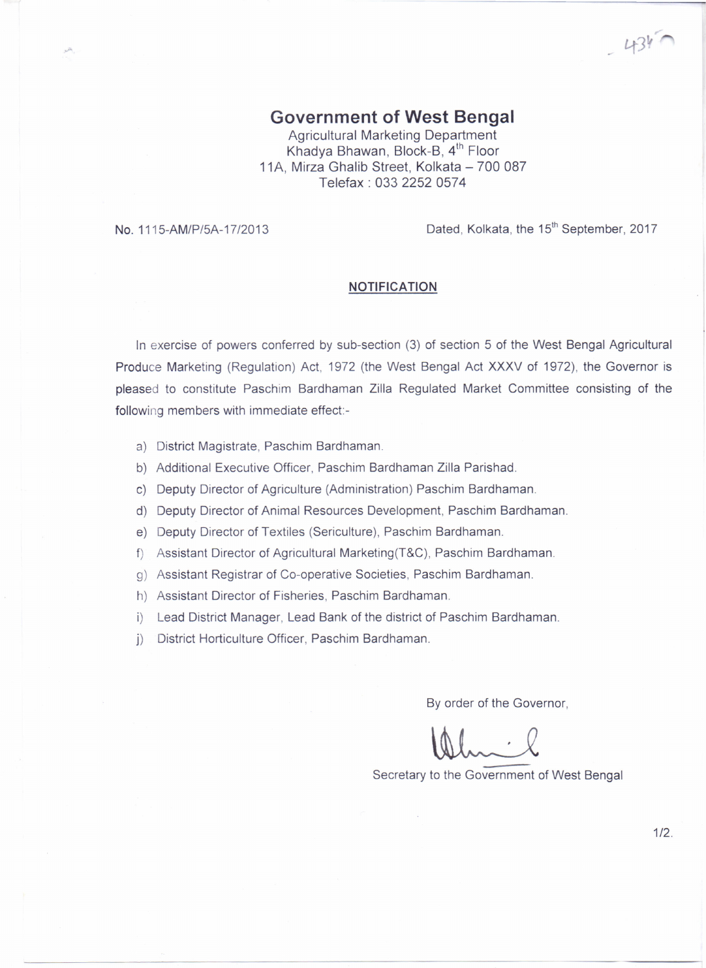**Government of West Bengal**

Agricultural Marketing Department Khadya Bhawan, Block-B, 4<sup>th</sup> Floor 11A, Mirza Ghalib Street, Kolkata - 700 087 Telefax: 033 2252 0574

No. 1115-AM/P/5A-17/2013 **Dated, Kolkata, the 15<sup>th</sup> September, 2017** 

 $434$ 

## **NOTIFICATION**

In exercise of powers conferred by sub-section (3) of section 5 of the West Bengal Agricultural Produce Marketing (Regulation) Act, 1972 (the West Bengal Act XXXV of 1972), the Governor is pleased to constitute Paschim Bardhaman Zilla Regulated Market Committee consisting of the following members with immediate effect:-

- a) District Magistrate, Paschim Bardhaman.
- b) Additional Executive Officer, Paschim Bardhaman Zilla Parishad.
- c) Deputy Director of Agriculture (Administration) Paschim Bardhaman.
- d) Deputy Director of Animal Resources Development, Paschim Bardhaman.
- e) Deputy Director of Textiles (Sericulture), Paschim Bardhaman.
- f) Assistant Director of Agricultural Marketing(T&C), Paschim Bardhaman.
- g) Assistant Registrar of Co-operative Societies, Paschim Bardhaman.
- h) Assistant Director of Fisheries, Paschim Bardhaman.
- i) Lead District Manager, Lead Bank of the district of Paschim Bardhaman.
- j) District Horticulture Officer, Paschim Bardhaman.

By order of the Governor,

Secretary to the Government of West Bengal